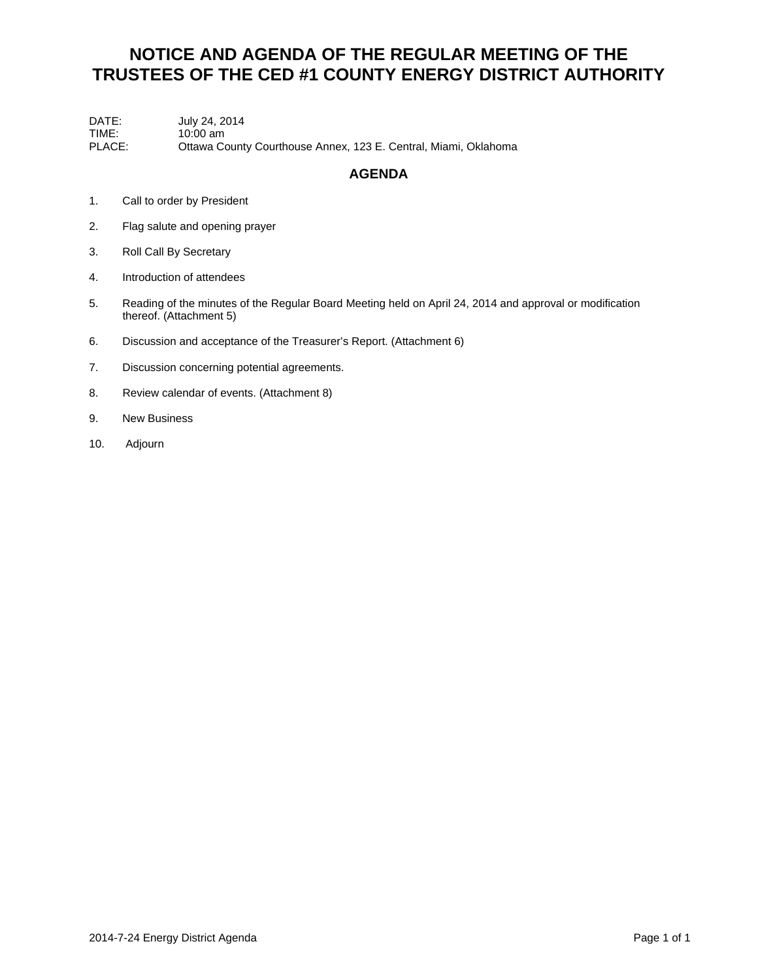## **NOTICE AND AGENDA OF THE REGULAR MEETING OF THE TRUSTEES OF THE CED #1 COUNTY ENERGY DISTRICT AUTHORITY**

DATE: July 24, 2014 TIME: 10:00 am<br>PLACE: Ottawa Co Ottawa County Courthouse Annex, 123 E. Central, Miami, Oklahoma

### **AGENDA**

- 1. Call to order by President
- 2. Flag salute and opening prayer
- 3. Roll Call By Secretary
- 4. Introduction of attendees
- 5. Reading of the minutes of the Regular Board Meeting held on April 24, 2014 and approval or modification thereof. (Attachment 5)
- 6. Discussion and acceptance of the Treasurer's Report. (Attachment 6)
- 7. Discussion concerning potential agreements.
- 8. Review calendar of events. (Attachment 8)
- 9. New Business
- 10. Adjourn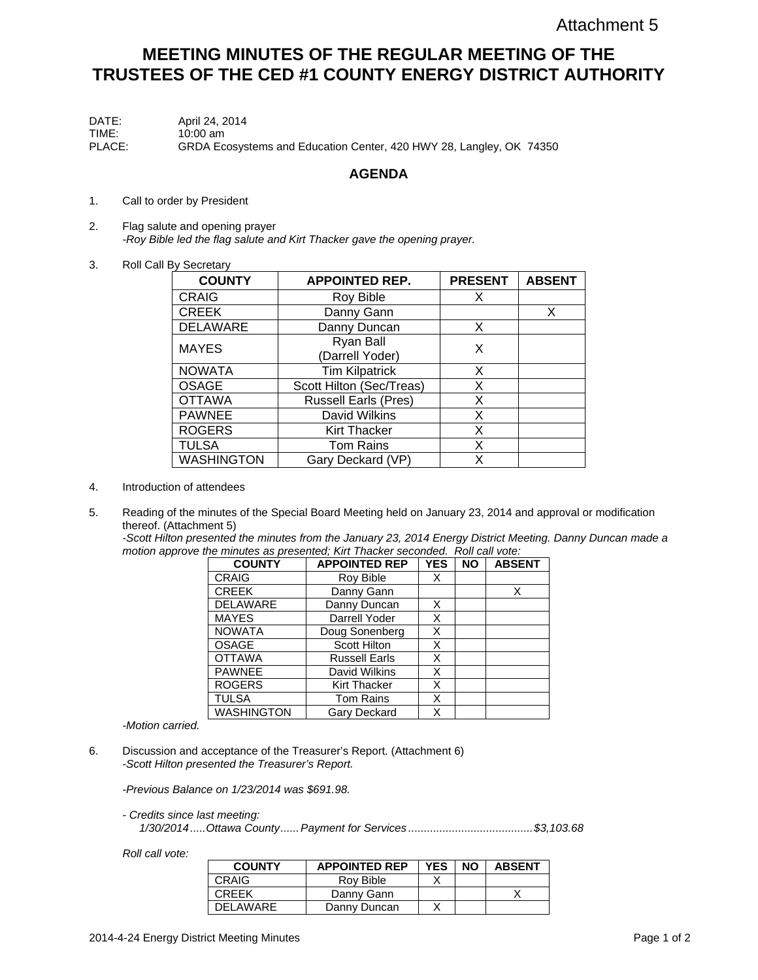## **MEETING MINUTES OF THE REGULAR MEETING OF THE TRUSTEES OF THE CED #1 COUNTY ENERGY DISTRICT AUTHORITY**

| DATE:  | April 24, 2014                                                      |
|--------|---------------------------------------------------------------------|
| TIME:  | $10:00$ am                                                          |
| PLACE: | GRDA Ecosystems and Education Center, 420 HWY 28, Langley, OK 74350 |

#### **AGENDA**

- 1. Call to order by President
- 2. Flag salute and opening prayer -*Roy Bible led the flag salute and Kirt Thacker gave the opening prayer.*
- 3. Roll Call By Secretary

| <b>COUNTY</b>     | <b>APPOINTED REP.</b>        | <b>PRESENT</b> | <b>ABSENT</b> |
|-------------------|------------------------------|----------------|---------------|
| <b>CRAIG</b>      | Roy Bible                    | X              |               |
| <b>CREEK</b>      | Danny Gann                   |                | X             |
| <b>DELAWARE</b>   | Danny Duncan                 | X              |               |
| <b>MAYES</b>      | Ryan Ball<br>(Darrell Yoder) | X              |               |
| <b>NOWATA</b>     | <b>Tim Kilpatrick</b>        | X              |               |
| <b>OSAGE</b>      | Scott Hilton (Sec/Treas)     | X              |               |
| <b>OTTAWA</b>     | <b>Russell Earls (Pres)</b>  | X              |               |
| <b>PAWNEE</b>     | David Wilkins                | X              |               |
| <b>ROGERS</b>     | <b>Kirt Thacker</b>          | X              |               |
| <b>TULSA</b>      | <b>Tom Rains</b>             | X              |               |
| <b>WASHINGTON</b> | Gary Deckard (VP)            | x              |               |

- 4. Introduction of attendees
- 5. Reading of the minutes of the Special Board Meeting held on January 23, 2014 and approval or modification thereof. (Attachment 5)

*-Scott Hilton presented the minutes from the January 23, 2014 Energy District Meeting. Danny Duncan made a motion approve the minutes as presented; Kirt Thacker seconded. Roll call vote:* 

| <b>COUNTY</b>     | <b>APPOINTED REP</b> | <b>YES</b> | <b>NO</b> | <b>ABSENT</b> |
|-------------------|----------------------|------------|-----------|---------------|
| <b>CRAIG</b>      | Roy Bible            | Х          |           |               |
| <b>CREEK</b>      | Danny Gann           |            |           | X             |
| <b>DELAWARE</b>   | Danny Duncan         | X          |           |               |
| <b>MAYES</b>      | Darrell Yoder        | Χ          |           |               |
| <b>NOWATA</b>     | Doug Sonenberg       | Χ          |           |               |
| <b>OSAGE</b>      | Scott Hilton         | X          |           |               |
| <b>OTTAWA</b>     | <b>Russell Earls</b> | Χ          |           |               |
| <b>PAWNEE</b>     | David Wilkins        | Χ          |           |               |
| <b>ROGERS</b>     | <b>Kirt Thacker</b>  | Χ          |           |               |
| <b>TULSA</b>      | <b>Tom Rains</b>     | Χ          |           |               |
| <b>WASHINGTON</b> | Gary Deckard         | Χ          |           |               |

-*Motion carried.*

6. Discussion and acceptance of the Treasurer's Report. (Attachment 6) *-Scott Hilton presented the Treasurer's Report.* 

*-Previous Balance on 1/23/2014 was \$691.98.* 

*- Credits since last meeting:* 

*1/30/2014 ..... Ottawa County ...... Payment for Services ........................................ \$3,103.68* 

*Roll call vote:* 

| <b>COUNTY</b> | <b>APPOINTED REP</b> | <b>YES</b> | <b>NO</b> | <b>ABSENT</b> |
|---------------|----------------------|------------|-----------|---------------|
| <b>CRAIG</b>  | Rov Bible            |            |           |               |
| <b>CREEK</b>  | Danny Gann           |            |           |               |
| DELAWARE      | Danny Duncan         |            |           |               |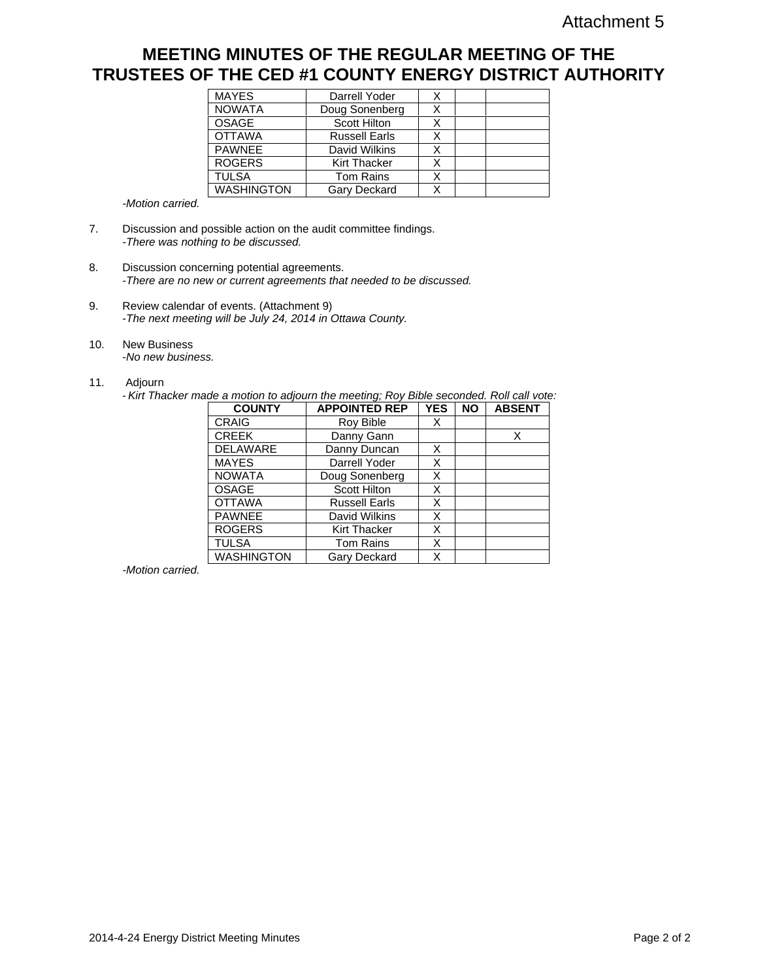### **MEETING MINUTES OF THE REGULAR MEETING OF THE TRUSTEES OF THE CED #1 COUNTY ENERGY DISTRICT AUTHORITY**

| <b>MAYES</b>      | Darrell Yoder        | х |  |
|-------------------|----------------------|---|--|
| <b>NOWATA</b>     | Doug Sonenberg       | X |  |
| OSAGE             | <b>Scott Hilton</b>  |   |  |
| <b>OTTAWA</b>     | <b>Russell Earls</b> | x |  |
| <b>PAWNEE</b>     | David Wilkins        | Χ |  |
| <b>ROGERS</b>     | <b>Kirt Thacker</b>  | X |  |
| <b>TULSA</b>      | <b>Tom Rains</b>     | x |  |
| <b>WASHINGTON</b> | Gary Deckard         | Χ |  |

-*Motion carried.*

- 7. Discussion and possible action on the audit committee findings. *-There was nothing to be discussed.*
- 8. Discussion concerning potential agreements. -*There are no new or current agreements that needed to be discussed.*
- 9. Review calendar of events. (Attachment 9) -*The next meeting will be July 24, 2014 in Ottawa County.*
- 10. New Business -*No new business.*
	-
- 11. Adjourn

- *Kirt Thacker made a motion to adjourn the meeting; Roy Bible seconded. Roll call vote:* 

| <b>COUNTY</b>     | <b>APPOINTED REP</b> | <b>YES</b> | <b>NO</b> | <b>ABSENT</b> |
|-------------------|----------------------|------------|-----------|---------------|
| <b>CRAIG</b>      | Roy Bible            | Х          |           |               |
| <b>CREEK</b>      | Danny Gann           |            |           | Χ             |
| <b>DELAWARE</b>   | Danny Duncan         | х          |           |               |
| <b>MAYES</b>      | Darrell Yoder        | х          |           |               |
| <b>NOWATA</b>     | Doug Sonenberg       | Χ          |           |               |
| <b>OSAGE</b>      | Scott Hilton         | Χ          |           |               |
| <b>OTTAWA</b>     | <b>Russell Earls</b> | X          |           |               |
| <b>PAWNEE</b>     | David Wilkins        | X          |           |               |
| <b>ROGERS</b>     | <b>Kirt Thacker</b>  | X          |           |               |
| <b>TULSA</b>      | <b>Tom Rains</b>     | X          |           |               |
| <b>WASHINGTON</b> | Gary Deckard         | Χ          |           |               |

-*Motion carried.*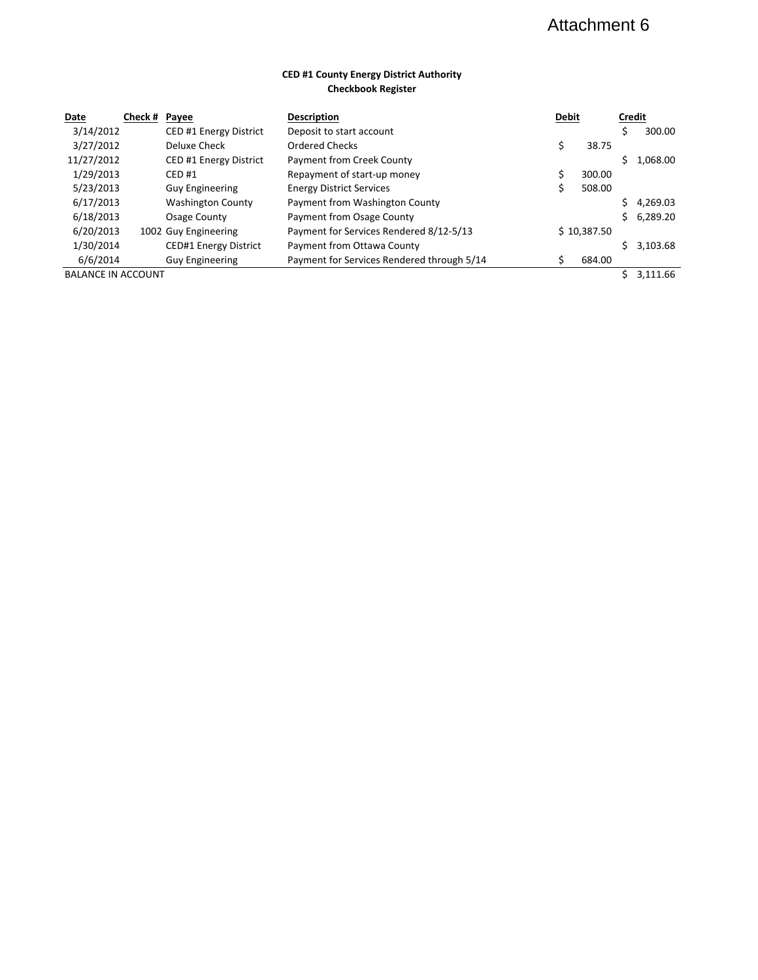# Attachment 6

#### **CED #1 County Energy District Authority Checkbook Register**

| Date                      | Check # Payee |                          | <b>Description</b>                         | <b>Debit</b> |             | <b>Credit</b> |          |
|---------------------------|---------------|--------------------------|--------------------------------------------|--------------|-------------|---------------|----------|
| 3/14/2012                 |               | CED #1 Energy District   | Deposit to start account                   |              |             |               | 300.00   |
| 3/27/2012                 |               | Deluxe Check             | Ordered Checks                             | \$           | 38.75       |               |          |
| 11/27/2012                |               | CED #1 Energy District   | Payment from Creek County                  |              |             |               | 1.068.00 |
| 1/29/2013                 |               | CED#1                    | Repayment of start-up money                |              | 300.00      |               |          |
| 5/23/2013                 |               | <b>Guy Engineering</b>   | <b>Energy District Services</b>            | Ś            | 508.00      |               |          |
| 6/17/2013                 |               | <b>Washington County</b> | Payment from Washington County             |              |             |               | 4.269.03 |
| 6/18/2013                 |               | Osage County             | Payment from Osage County                  |              |             | Ś.            | 6,289.20 |
| 6/20/2013                 |               | 1002 Guy Engineering     | Payment for Services Rendered 8/12-5/13    |              | \$10,387.50 |               |          |
| 1/30/2014                 |               | CED#1 Energy District    | Payment from Ottawa County                 |              |             |               | 3,103.68 |
| 6/6/2014                  |               | <b>Guy Engineering</b>   | Payment for Services Rendered through 5/14 | Ś            | 684.00      |               |          |
| <b>BALANCE IN ACCOUNT</b> |               |                          |                                            |              |             |               | 3.111.66 |